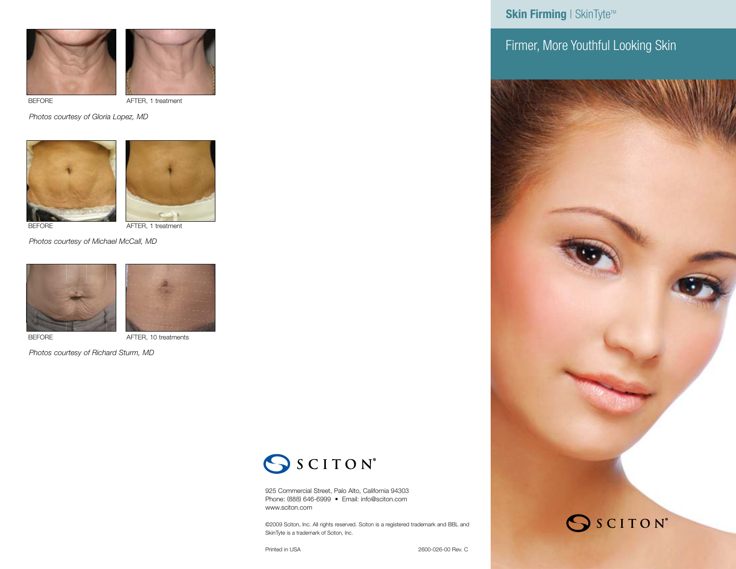



BEFORE AFTER, 1 treatment

.<br>Photos courtesy of Gloria Lopez, MD





SkinTyte

AFTER, 1 treatment

Photos courtesy of Michael McCall, MD





BEFORE **AFTER, 10 treatments** 

*Photos courtesy of Richard Sturm, MD*

SSCITON®

925 Commercial Street, Palo Alto, California 94303 Phone: (888) 646-6999 • Email: info@sciton.com www.sciton.com

©2009 Sciton, Inc. All rights reserved. Sciton is a registered trademark and BBL and SkinTyte is a trademark of Sciton, Inc.

**Skin Firming | SkinTyte™** 

Firmer, More Youthful Looking Skin



Printed in USA 2600-026-00 Rev. C